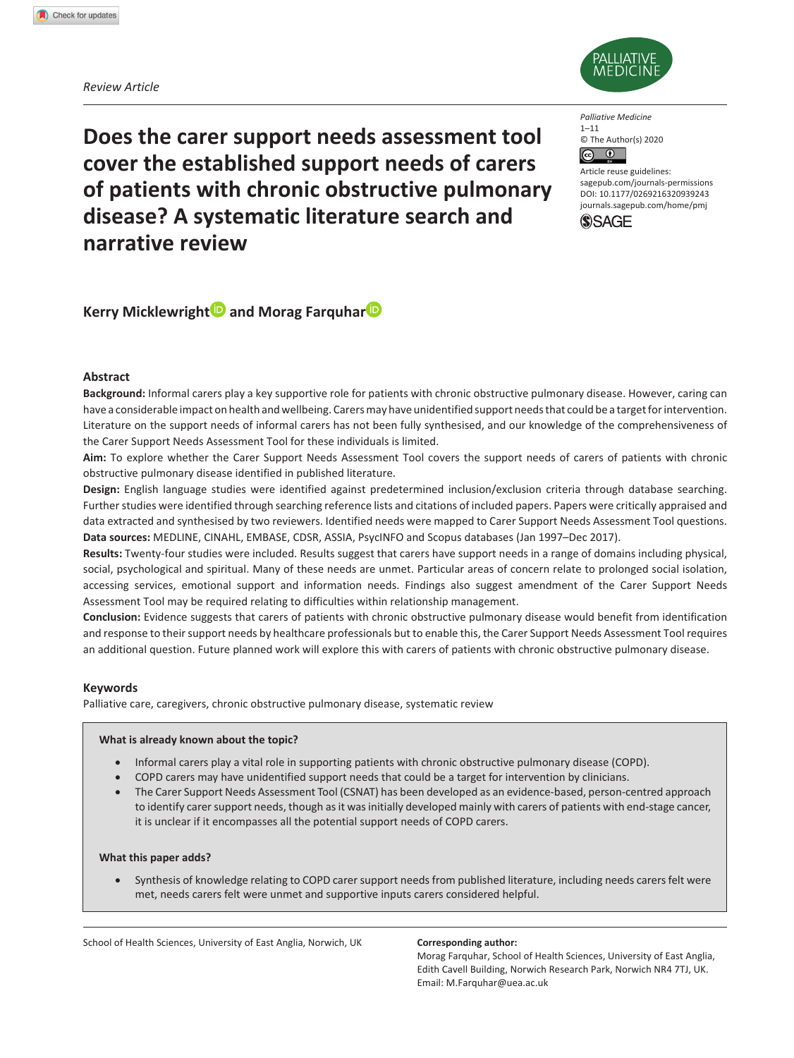*Review Article*



**Does the carer support needs assessment tool cover the established support needs of carers of patients with chronic obstructive pulmonary disease? A systematic literature search and narrative review**

*Palliative Medicine*  $1 - 11$ © The Author(s) 2020  $\bullet$ 

Article reuse guidelines: [sagepub.com/journals-permissions](https://uk.sagepub.com/en-gb/journals-permissions) DOI: 10.1177/0269216320939243 [journals.sagepub.com/home/pmj](http://journals.sagepub.com/home/pmj)



**Kerry Micklewright and Morag Farquhar** 

# **Abstract**

**Background:** Informal carers play a key supportive role for patients with chronic obstructive pulmonary disease. However, caring can have a considerable impact on health and wellbeing. Carers may have unidentified support needs that could be a target for intervention. Literature on the support needs of informal carers has not been fully synthesised, and our knowledge of the comprehensiveness of the Carer Support Needs Assessment Tool for these individuals is limited.

**Aim:** To explore whether the Carer Support Needs Assessment Tool covers the support needs of carers of patients with chronic obstructive pulmonary disease identified in published literature.

**Design:** English language studies were identified against predetermined inclusion/exclusion criteria through database searching. Further studies were identified through searching reference lists and citations of included papers. Papers were critically appraised and data extracted and synthesised by two reviewers. Identified needs were mapped to Carer Support Needs Assessment Tool questions. **Data sources:** MEDLINE, CINAHL, EMBASE, CDSR, ASSIA, PsycINFO and Scopus databases (Jan 1997–Dec 2017).

**Results:** Twenty-four studies were included. Results suggest that carers have support needs in a range of domains including physical, social, psychological and spiritual. Many of these needs are unmet. Particular areas of concern relate to prolonged social isolation, accessing services, emotional support and information needs. Findings also suggest amendment of the Carer Support Needs Assessment Tool may be required relating to difficulties within relationship management.

**Conclusion:** Evidence suggests that carers of patients with chronic obstructive pulmonary disease would benefit from identification and response to their support needs by healthcare professionals but to enable this, the Carer Support Needs Assessment Tool requires an additional question. Future planned work will explore this with carers of patients with chronic obstructive pulmonary disease.

# **Keywords**

Palliative care, caregivers, chronic obstructive pulmonary disease, systematic review

## **What is already known about the topic?**

- Informal carers play a vital role in supporting patients with chronic obstructive pulmonary disease (COPD).
- COPD carers may have unidentified support needs that could be a target for intervention by clinicians.
- The Carer Support Needs Assessment Tool (CSNAT) has been developed as an evidence-based, person-centred approach to identify carer support needs, though as it was initially developed mainly with carers of patients with end-stage cancer, it is unclear if it encompasses all the potential support needs of COPD carers.

## **What this paper adds?**

• Synthesis of knowledge relating to COPD carer support needs from published literature, including needs carers felt were met, needs carers felt were unmet and supportive inputs carers considered helpful.

School of Health Sciences, University of East Anglia, Norwich, UK **Corresponding author:** 

Morag Farquhar, School of Health Sciences, University of East Anglia, Edith Cavell Building, Norwich Research Park, Norwich NR4 7TJ, UK. Email: [M.Farquhar@uea.ac.uk](mailto:M.Farquhar@uea.ac.uk)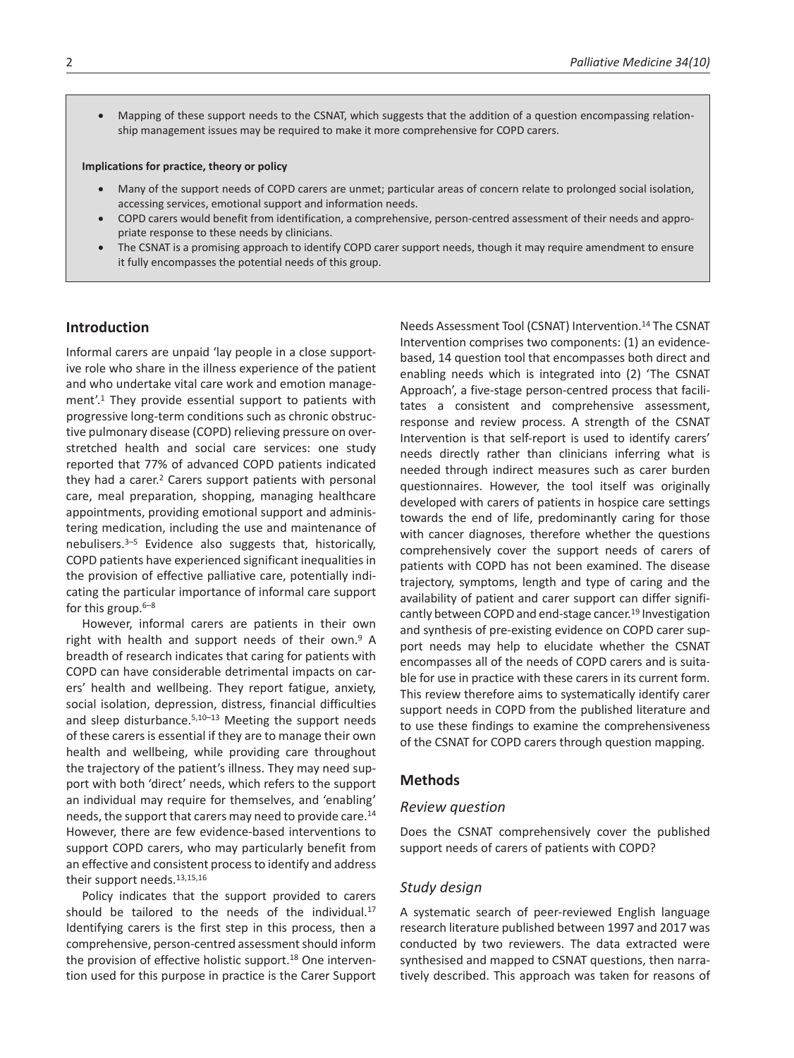• Mapping of these support needs to the CSNAT, which suggests that the addition of a question encompassing relationship management issues may be required to make it more comprehensive for COPD carers.

#### **Implications for practice, theory or policy**

- Many of the support needs of COPD carers are unmet; particular areas of concern relate to prolonged social isolation, accessing services, emotional support and information needs.
- COPD carers would benefit from identification, a comprehensive, person-centred assessment of their needs and appropriate response to these needs by clinicians.
- The CSNAT is a promising approach to identify COPD carer support needs, though it may require amendment to ensure it fully encompasses the potential needs of this group.

# **Introduction**

Informal carers are unpaid 'lay people in a close supportive role who share in the illness experience of the patient and who undertake vital care work and emotion management'.1 They provide essential support to patients with progressive long-term conditions such as chronic obstructive pulmonary disease (COPD) relieving pressure on overstretched health and social care services: one study reported that 77% of advanced COPD patients indicated they had a carer.<sup>2</sup> Carers support patients with personal care, meal preparation, shopping, managing healthcare appointments, providing emotional support and administering medication, including the use and maintenance of nebulisers.3–5 Evidence also suggests that, historically, COPD patients have experienced significant inequalities in the provision of effective palliative care, potentially indicating the particular importance of informal care support for this group.6–8

However, informal carers are patients in their own right with health and support needs of their own.9 A breadth of research indicates that caring for patients with COPD can have considerable detrimental impacts on carers' health and wellbeing. They report fatigue, anxiety, social isolation, depression, distress, financial difficulties and sleep disturbance.<sup>5,10-13</sup> Meeting the support needs of these carers is essential if they are to manage their own health and wellbeing, while providing care throughout the trajectory of the patient's illness. They may need support with both 'direct' needs, which refers to the support an individual may require for themselves, and 'enabling' needs, the support that carers may need to provide care.<sup>14</sup> However, there are few evidence-based interventions to support COPD carers, who may particularly benefit from an effective and consistent process to identify and address their support needs.13,15,16

Policy indicates that the support provided to carers should be tailored to the needs of the individual.<sup>17</sup> Identifying carers is the first step in this process, then a comprehensive, person-centred assessment should inform the provision of effective holistic support.<sup>18</sup> One intervention used for this purpose in practice is the Carer Support

Needs Assessment Tool (CSNAT) Intervention.14 The CSNAT Intervention comprises two components: (1) an evidencebased, 14 question tool that encompasses both direct and enabling needs which is integrated into (2) 'The CSNAT Approach', a five-stage person-centred process that facilitates a consistent and comprehensive assessment, response and review process. A strength of the CSNAT Intervention is that self-report is used to identify carers' needs directly rather than clinicians inferring what is needed through indirect measures such as carer burden questionnaires. However, the tool itself was originally developed with carers of patients in hospice care settings towards the end of life, predominantly caring for those with cancer diagnoses, therefore whether the questions comprehensively cover the support needs of carers of patients with COPD has not been examined. The disease trajectory, symptoms, length and type of caring and the availability of patient and carer support can differ significantly between COPD and end-stage cancer.<sup>19</sup> Investigation and synthesis of pre-existing evidence on COPD carer support needs may help to elucidate whether the CSNAT encompasses all of the needs of COPD carers and is suitable for use in practice with these carers in its current form. This review therefore aims to systematically identify carer support needs in COPD from the published literature and to use these findings to examine the comprehensiveness of the CSNAT for COPD carers through question mapping.

# **Methods**

## *Review question*

Does the CSNAT comprehensively cover the published support needs of carers of patients with COPD?

# *Study design*

A systematic search of peer-reviewed English language research literature published between 1997 and 2017 was conducted by two reviewers. The data extracted were synthesised and mapped to CSNAT questions, then narratively described. This approach was taken for reasons of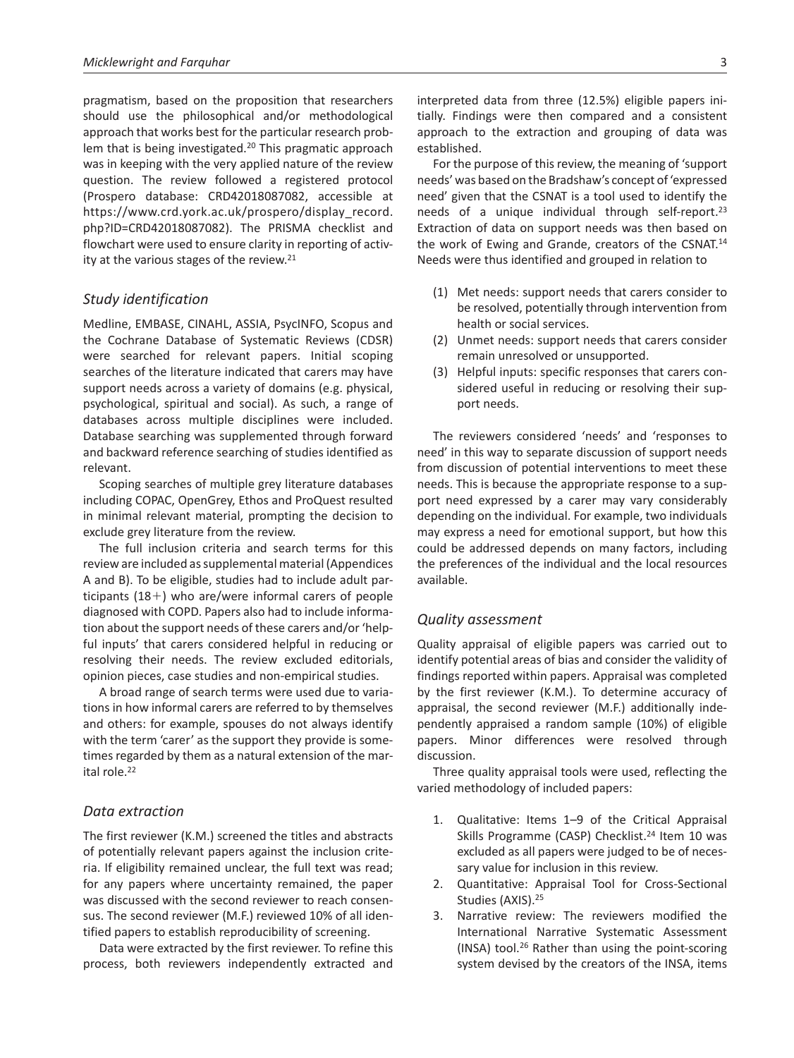pragmatism, based on the proposition that researchers should use the philosophical and/or methodological approach that works best for the particular research problem that is being investigated.20 This pragmatic approach was in keeping with the very applied nature of the review question. The review followed a registered protocol (Prospero database: CRD42018087082, accessible at [https://www.crd.york.ac.uk/prospero/display\\_record.](https://www.crd.york.ac.uk/prospero/display_record.php?ID=CRD42018087082) [php?ID=CRD42018087082](https://www.crd.york.ac.uk/prospero/display_record.php?ID=CRD42018087082)). The PRISMA checklist and flowchart were used to ensure clarity in reporting of activity at the various stages of the review.21

# *Study identification*

Medline, EMBASE, CINAHL, ASSIA, PsycINFO, Scopus and the Cochrane Database of Systematic Reviews (CDSR) were searched for relevant papers. Initial scoping searches of the literature indicated that carers may have support needs across a variety of domains (e.g. physical, psychological, spiritual and social). As such, a range of databases across multiple disciplines were included. Database searching was supplemented through forward and backward reference searching of studies identified as relevant.

Scoping searches of multiple grey literature databases including COPAC, OpenGrey, Ethos and ProQuest resulted in minimal relevant material, prompting the decision to exclude grey literature from the review.

The full inclusion criteria and search terms for this review are included as supplemental material (Appendices A and B). To be eligible, studies had to include adult participants  $(18+)$  who are/were informal carers of people diagnosed with COPD. Papers also had to include information about the support needs of these carers and/or 'helpful inputs' that carers considered helpful in reducing or resolving their needs. The review excluded editorials, opinion pieces, case studies and non-empirical studies.

A broad range of search terms were used due to variations in how informal carers are referred to by themselves and others: for example, spouses do not always identify with the term 'carer' as the support they provide is sometimes regarded by them as a natural extension of the marital role.22

# *Data extraction*

The first reviewer (K.M.) screened the titles and abstracts of potentially relevant papers against the inclusion criteria. If eligibility remained unclear, the full text was read; for any papers where uncertainty remained, the paper was discussed with the second reviewer to reach consensus. The second reviewer (M.F.) reviewed 10% of all identified papers to establish reproducibility of screening.

Data were extracted by the first reviewer. To refine this process, both reviewers independently extracted and interpreted data from three (12.5%) eligible papers initially. Findings were then compared and a consistent approach to the extraction and grouping of data was established.

For the purpose of this review, the meaning of 'support needs' was based on the Bradshaw's concept of 'expressed need' given that the CSNAT is a tool used to identify the needs of a unique individual through self-report.23 Extraction of data on support needs was then based on the work of Ewing and Grande, creators of the CSNAT.14 Needs were thus identified and grouped in relation to

- (1) Met needs: support needs that carers consider to be resolved, potentially through intervention from health or social services.
- (2) Unmet needs: support needs that carers consider remain unresolved or unsupported.
- (3) Helpful inputs: specific responses that carers considered useful in reducing or resolving their support needs.

The reviewers considered 'needs' and 'responses to need' in this way to separate discussion of support needs from discussion of potential interventions to meet these needs. This is because the appropriate response to a support need expressed by a carer may vary considerably depending on the individual. For example, two individuals may express a need for emotional support, but how this could be addressed depends on many factors, including the preferences of the individual and the local resources available.

# *Quality assessment*

Quality appraisal of eligible papers was carried out to identify potential areas of bias and consider the validity of findings reported within papers. Appraisal was completed by the first reviewer (K.M.). To determine accuracy of appraisal, the second reviewer (M.F.) additionally independently appraised a random sample (10%) of eligible papers. Minor differences were resolved through discussion.

Three quality appraisal tools were used, reflecting the varied methodology of included papers:

- 1. Qualitative: Items 1–9 of the Critical Appraisal Skills Programme (CASP) Checklist.<sup>24</sup> Item 10 was excluded as all papers were judged to be of necessary value for inclusion in this review.
- 2. Quantitative: Appraisal Tool for Cross-Sectional Studies (AXIS).25
- 3. Narrative review: The reviewers modified the International Narrative Systematic Assessment (INSA) tool.26 Rather than using the point-scoring system devised by the creators of the INSA, items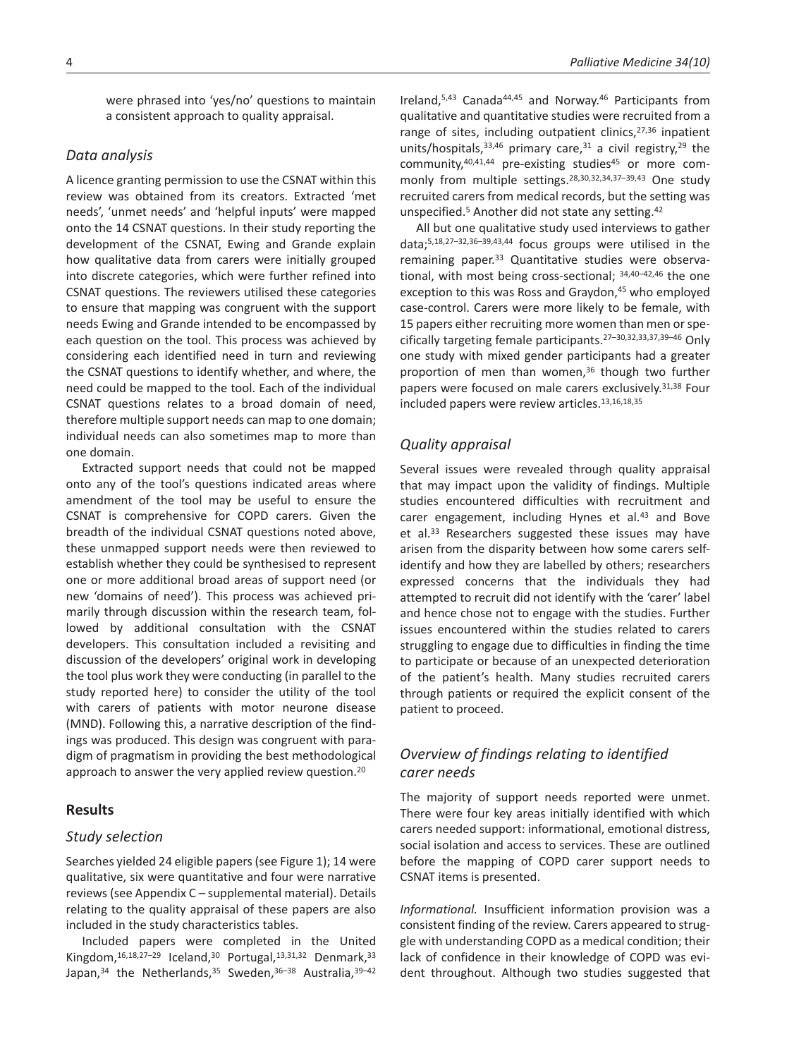were phrased into 'yes/no' questions to maintain a consistent approach to quality appraisal.

# *Data analysis*

A licence granting permission to use the CSNAT within this review was obtained from its creators. Extracted 'met needs', 'unmet needs' and 'helpful inputs' were mapped onto the 14 CSNAT questions. In their study reporting the development of the CSNAT, Ewing and Grande explain how qualitative data from carers were initially grouped into discrete categories, which were further refined into CSNAT questions. The reviewers utilised these categories to ensure that mapping was congruent with the support needs Ewing and Grande intended to be encompassed by each question on the tool. This process was achieved by considering each identified need in turn and reviewing the CSNAT questions to identify whether, and where, the need could be mapped to the tool. Each of the individual CSNAT questions relates to a broad domain of need, therefore multiple support needs can map to one domain; individual needs can also sometimes map to more than one domain.

Extracted support needs that could not be mapped onto any of the tool's questions indicated areas where amendment of the tool may be useful to ensure the CSNAT is comprehensive for COPD carers. Given the breadth of the individual CSNAT questions noted above, these unmapped support needs were then reviewed to establish whether they could be synthesised to represent one or more additional broad areas of support need (or new 'domains of need'). This process was achieved primarily through discussion within the research team, followed by additional consultation with the CSNAT developers. This consultation included a revisiting and discussion of the developers' original work in developing the tool plus work they were conducting (in parallel to the study reported here) to consider the utility of the tool with carers of patients with motor neurone disease (MND). Following this, a narrative description of the findings was produced. This design was congruent with paradigm of pragmatism in providing the best methodological approach to answer the very applied review question.<sup>20</sup>

# **Results**

# *Study selection*

Searches yielded 24 eligible papers (see Figure 1); 14 were qualitative, six were quantitative and four were narrative reviews (see Appendix C – supplemental material). Details relating to the quality appraisal of these papers are also included in the study characteristics tables.

Included papers were completed in the United Kingdom, 16,18,27-29 Iceland, 30 Portugal, 13,31,32 Denmark, 33 Japan,<sup>34</sup> the Netherlands,<sup>35</sup> Sweden,<sup>36-38</sup> Australia, 39-42 Ireland,5,43 Canada44,45 and Norway.46 Participants from qualitative and quantitative studies were recruited from a range of sites, including outpatient clinics,<sup>27,36</sup> inpatient units/hospitals, 33,46 primary care, 31 a civil registry, 29 the community, <sup>40,41,44</sup> pre-existing studies<sup>45</sup> or more commonly from multiple settings.<sup>28,30,32,34,37-39,43</sup> One study recruited carers from medical records, but the setting was unspecified.<sup>5</sup> Another did not state any setting.<sup>42</sup>

All but one qualitative study used interviews to gather data;5,18,27–32,36–39,43,44 focus groups were utilised in the remaining paper.33 Quantitative studies were observational, with most being cross-sectional; 34,40–42,46 the one exception to this was Ross and Graydon,<sup>45</sup> who employed case-control. Carers were more likely to be female, with 15 papers either recruiting more women than men or specifically targeting female participants.27–30,32,33,37,39–46 Only one study with mixed gender participants had a greater proportion of men than women,<sup>36</sup> though two further papers were focused on male carers exclusively.31,38 Four included papers were review articles.13,16,18,35

# *Quality appraisal*

Several issues were revealed through quality appraisal that may impact upon the validity of findings. Multiple studies encountered difficulties with recruitment and carer engagement, including Hynes et al.<sup>43</sup> and Bove et al.<sup>33</sup> Researchers suggested these issues may have arisen from the disparity between how some carers selfidentify and how they are labelled by others; researchers expressed concerns that the individuals they had attempted to recruit did not identify with the 'carer' label and hence chose not to engage with the studies. Further issues encountered within the studies related to carers struggling to engage due to difficulties in finding the time to participate or because of an unexpected deterioration of the patient's health. Many studies recruited carers through patients or required the explicit consent of the patient to proceed.

# *Overview of findings relating to identified carer needs*

The majority of support needs reported were unmet. There were four key areas initially identified with which carers needed support: informational, emotional distress, social isolation and access to services. These are outlined before the mapping of COPD carer support needs to CSNAT items is presented.

*Informational.* Insufficient information provision was a consistent finding of the review. Carers appeared to struggle with understanding COPD as a medical condition; their lack of confidence in their knowledge of COPD was evident throughout. Although two studies suggested that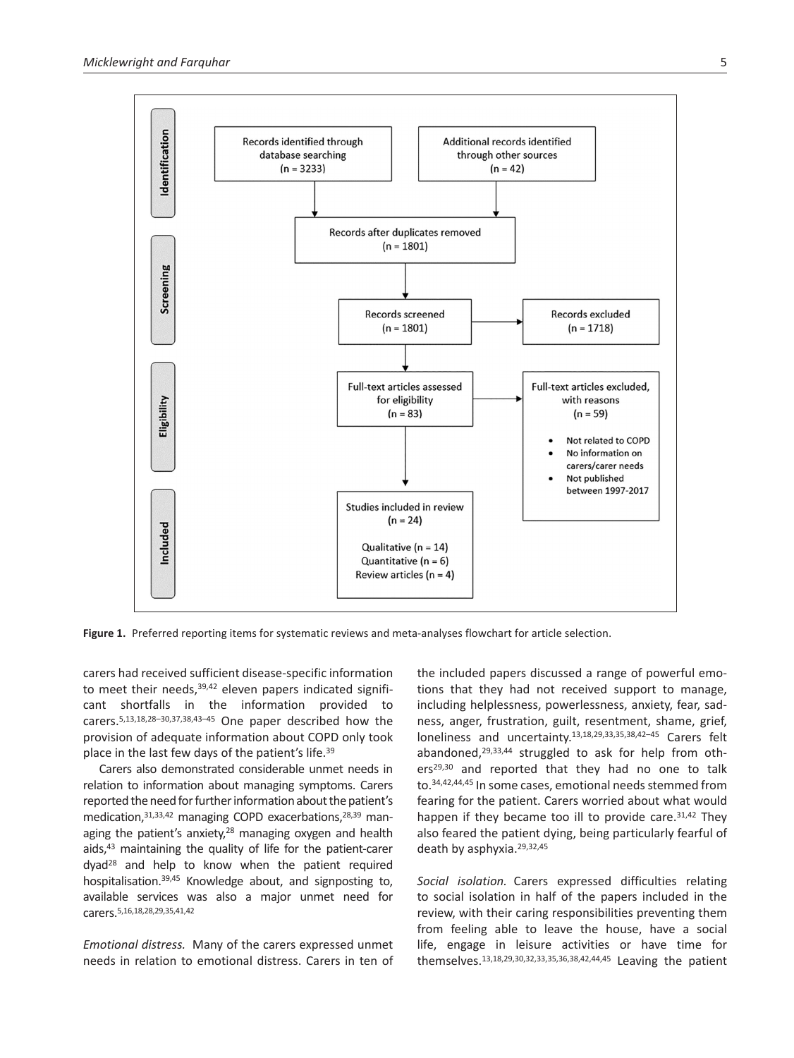

**Figure 1.** Preferred reporting items for systematic reviews and meta-analyses flowchart for article selection.

carers had received sufficient disease-specific information to meet their needs, 39,42 eleven papers indicated significant shortfalls in the information provided to carers.5,13,18,28–30,37,38,43–45 One paper described how the provision of adequate information about COPD only took place in the last few days of the patient's life.39

Carers also demonstrated considerable unmet needs in relation to information about managing symptoms. Carers reported the need for further information about the patient's medication,31,33,42 managing COPD exacerbations,28,39 managing the patient's anxiety,<sup>28</sup> managing oxygen and health aids,43 maintaining the quality of life for the patient-carer dyad28 and help to know when the patient required hospitalisation.39,45 Knowledge about, and signposting to, available services was also a major unmet need for carers.5,16,18,28,29,35,41,42

*Emotional distress.* Many of the carers expressed unmet needs in relation to emotional distress. Carers in ten of the included papers discussed a range of powerful emotions that they had not received support to manage, including helplessness, powerlessness, anxiety, fear, sadness, anger, frustration, guilt, resentment, shame, grief, loneliness and uncertainty.13,18,29,33,35,38,42–45 Carers felt abandoned,29,33,44 struggled to ask for help from others<sup>29,30</sup> and reported that they had no one to talk to.34,42,44,45 In some cases, emotional needs stemmed from fearing for the patient. Carers worried about what would happen if they became too ill to provide care.<sup>31,42</sup> They also feared the patient dying, being particularly fearful of death by asphyxia.29,32,45

*Social isolation.* Carers expressed difficulties relating to social isolation in half of the papers included in the review, with their caring responsibilities preventing them from feeling able to leave the house, have a social life, engage in leisure activities or have time for themselves.13,18,29,30,32,33,35,36,38,42,44,45 Leaving the patient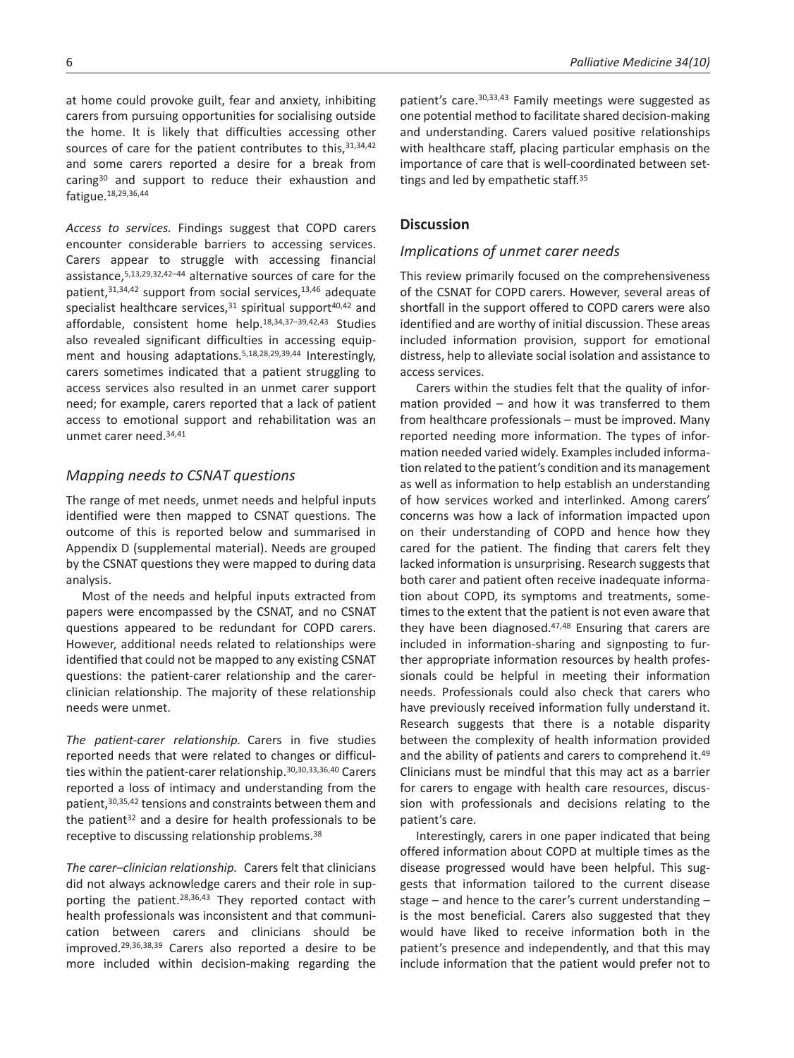at home could provoke guilt, fear and anxiety, inhibiting carers from pursuing opportunities for socialising outside the home. It is likely that difficulties accessing other sources of care for the patient contributes to this, 31, 34, 42 and some carers reported a desire for a break from caring30 and support to reduce their exhaustion and fatigue.18,29,36,44

*Access to services.* Findings suggest that COPD carers encounter considerable barriers to accessing services. Carers appear to struggle with accessing financial assistance,5,13,29,32,42–44 alternative sources of care for the patient,<sup>31,34,42</sup> support from social services,<sup>13,46</sup> adequate specialist healthcare services, $31$  spiritual support $40,42$  and affordable, consistent home help.18,34,37–39,42,43 Studies also revealed significant difficulties in accessing equipment and housing adaptations.5,18,28,29,39,44 Interestingly, carers sometimes indicated that a patient struggling to access services also resulted in an unmet carer support need; for example, carers reported that a lack of patient access to emotional support and rehabilitation was an unmet carer need.34,41

# *Mapping needs to CSNAT questions*

The range of met needs, unmet needs and helpful inputs identified were then mapped to CSNAT questions. The outcome of this is reported below and summarised in Appendix D (supplemental material). Needs are grouped by the CSNAT questions they were mapped to during data analysis.

Most of the needs and helpful inputs extracted from papers were encompassed by the CSNAT, and no CSNAT questions appeared to be redundant for COPD carers. However, additional needs related to relationships were identified that could not be mapped to any existing CSNAT questions: the patient-carer relationship and the carerclinician relationship. The majority of these relationship needs were unmet.

*The patient-carer relationship.* Carers in five studies reported needs that were related to changes or difficulties within the patient-carer relationship.30,30,33,36,40 Carers reported a loss of intimacy and understanding from the patient,30,35,42 tensions and constraints between them and the patient $32$  and a desire for health professionals to be receptive to discussing relationship problems.38

*The carer–clinician relationship.* Carers felt that clinicians did not always acknowledge carers and their role in supporting the patient.28,36,43 They reported contact with health professionals was inconsistent and that communication between carers and clinicians should be improved.29,36,38,39 Carers also reported a desire to be more included within decision-making regarding the

patient's care.30,33,43 Family meetings were suggested as one potential method to facilitate shared decision-making and understanding. Carers valued positive relationships with healthcare staff, placing particular emphasis on the importance of care that is well-coordinated between settings and led by empathetic staff.<sup>35</sup>

# **Discussion**

# *Implications of unmet carer needs*

This review primarily focused on the comprehensiveness of the CSNAT for COPD carers. However, several areas of shortfall in the support offered to COPD carers were also identified and are worthy of initial discussion. These areas included information provision, support for emotional distress, help to alleviate social isolation and assistance to access services.

Carers within the studies felt that the quality of information provided – and how it was transferred to them from healthcare professionals – must be improved. Many reported needing more information. The types of information needed varied widely. Examples included information related to the patient's condition and its management as well as information to help establish an understanding of how services worked and interlinked. Among carers' concerns was how a lack of information impacted upon on their understanding of COPD and hence how they cared for the patient. The finding that carers felt they lacked information is unsurprising. Research suggests that both carer and patient often receive inadequate information about COPD, its symptoms and treatments, sometimes to the extent that the patient is not even aware that they have been diagnosed.<sup>47,48</sup> Ensuring that carers are included in information-sharing and signposting to further appropriate information resources by health professionals could be helpful in meeting their information needs. Professionals could also check that carers who have previously received information fully understand it. Research suggests that there is a notable disparity between the complexity of health information provided and the ability of patients and carers to comprehend it.<sup>49</sup> Clinicians must be mindful that this may act as a barrier for carers to engage with health care resources, discussion with professionals and decisions relating to the patient's care.

Interestingly, carers in one paper indicated that being offered information about COPD at multiple times as the disease progressed would have been helpful. This suggests that information tailored to the current disease stage – and hence to the carer's current understanding – is the most beneficial. Carers also suggested that they would have liked to receive information both in the patient's presence and independently, and that this may include information that the patient would prefer not to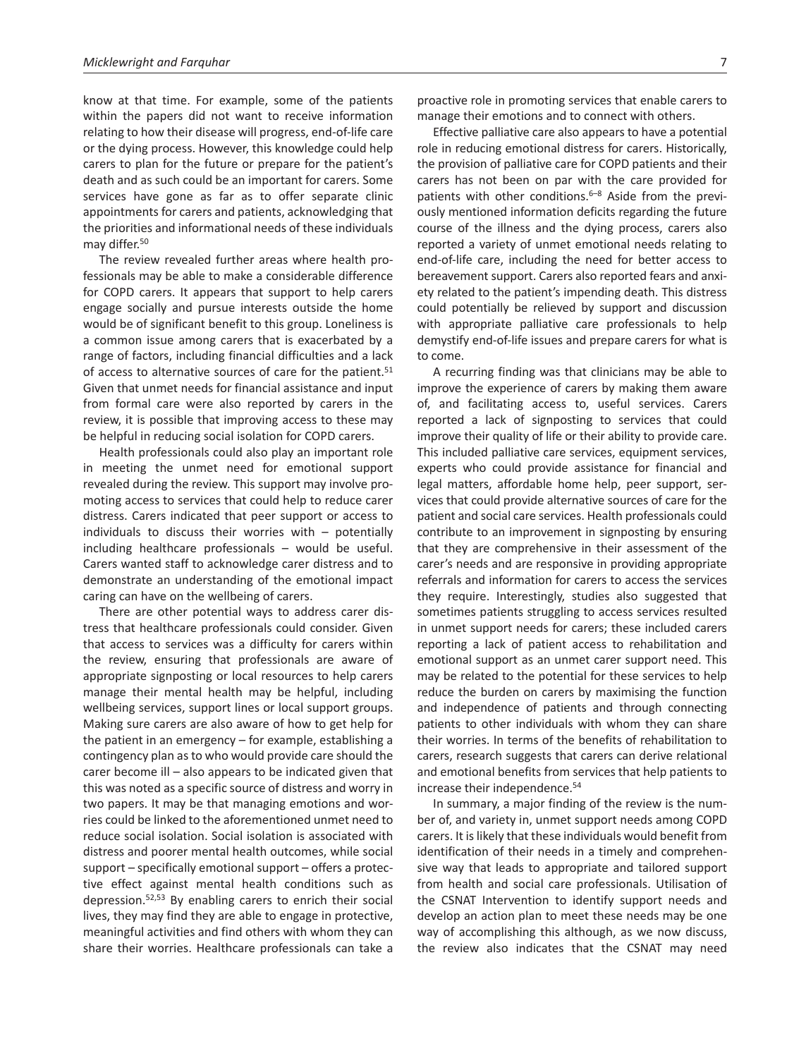know at that time. For example, some of the patients within the papers did not want to receive information relating to how their disease will progress, end-of-life care or the dying process. However, this knowledge could help carers to plan for the future or prepare for the patient's death and as such could be an important for carers. Some services have gone as far as to offer separate clinic appointments for carers and patients, acknowledging that the priorities and informational needs of these individuals may differ.<sup>50</sup>

The review revealed further areas where health professionals may be able to make a considerable difference for COPD carers. It appears that support to help carers engage socially and pursue interests outside the home would be of significant benefit to this group. Loneliness is a common issue among carers that is exacerbated by a range of factors, including financial difficulties and a lack of access to alternative sources of care for the patient.<sup>51</sup> Given that unmet needs for financial assistance and input from formal care were also reported by carers in the review, it is possible that improving access to these may be helpful in reducing social isolation for COPD carers.

Health professionals could also play an important role in meeting the unmet need for emotional support revealed during the review. This support may involve promoting access to services that could help to reduce carer distress. Carers indicated that peer support or access to individuals to discuss their worries with  $-$  potentially including healthcare professionals – would be useful. Carers wanted staff to acknowledge carer distress and to demonstrate an understanding of the emotional impact caring can have on the wellbeing of carers.

There are other potential ways to address carer distress that healthcare professionals could consider. Given that access to services was a difficulty for carers within the review, ensuring that professionals are aware of appropriate signposting or local resources to help carers manage their mental health may be helpful, including wellbeing services, support lines or local support groups. Making sure carers are also aware of how to get help for the patient in an emergency – for example, establishing a contingency plan as to who would provide care should the carer become ill – also appears to be indicated given that this was noted as a specific source of distress and worry in two papers. It may be that managing emotions and worries could be linked to the aforementioned unmet need to reduce social isolation. Social isolation is associated with distress and poorer mental health outcomes, while social support – specifically emotional support – offers a protective effect against mental health conditions such as depression.52,53 By enabling carers to enrich their social lives, they may find they are able to engage in protective, meaningful activities and find others with whom they can share their worries. Healthcare professionals can take a

Effective palliative care also appears to have a potential role in reducing emotional distress for carers. Historically, the provision of palliative care for COPD patients and their carers has not been on par with the care provided for patients with other conditions.<sup>6–8</sup> Aside from the previously mentioned information deficits regarding the future course of the illness and the dying process, carers also reported a variety of unmet emotional needs relating to end-of-life care, including the need for better access to bereavement support. Carers also reported fears and anxiety related to the patient's impending death. This distress could potentially be relieved by support and discussion with appropriate palliative care professionals to help demystify end-of-life issues and prepare carers for what is to come.

A recurring finding was that clinicians may be able to improve the experience of carers by making them aware of, and facilitating access to, useful services. Carers reported a lack of signposting to services that could improve their quality of life or their ability to provide care. This included palliative care services, equipment services, experts who could provide assistance for financial and legal matters, affordable home help, peer support, services that could provide alternative sources of care for the patient and social care services. Health professionals could contribute to an improvement in signposting by ensuring that they are comprehensive in their assessment of the carer's needs and are responsive in providing appropriate referrals and information for carers to access the services they require. Interestingly, studies also suggested that sometimes patients struggling to access services resulted in unmet support needs for carers; these included carers reporting a lack of patient access to rehabilitation and emotional support as an unmet carer support need. This may be related to the potential for these services to help reduce the burden on carers by maximising the function and independence of patients and through connecting patients to other individuals with whom they can share their worries. In terms of the benefits of rehabilitation to carers, research suggests that carers can derive relational and emotional benefits from services that help patients to increase their independence.54

In summary, a major finding of the review is the number of, and variety in, unmet support needs among COPD carers. It is likely that these individuals would benefit from identification of their needs in a timely and comprehensive way that leads to appropriate and tailored support from health and social care professionals. Utilisation of the CSNAT Intervention to identify support needs and develop an action plan to meet these needs may be one way of accomplishing this although, as we now discuss, the review also indicates that the CSNAT may need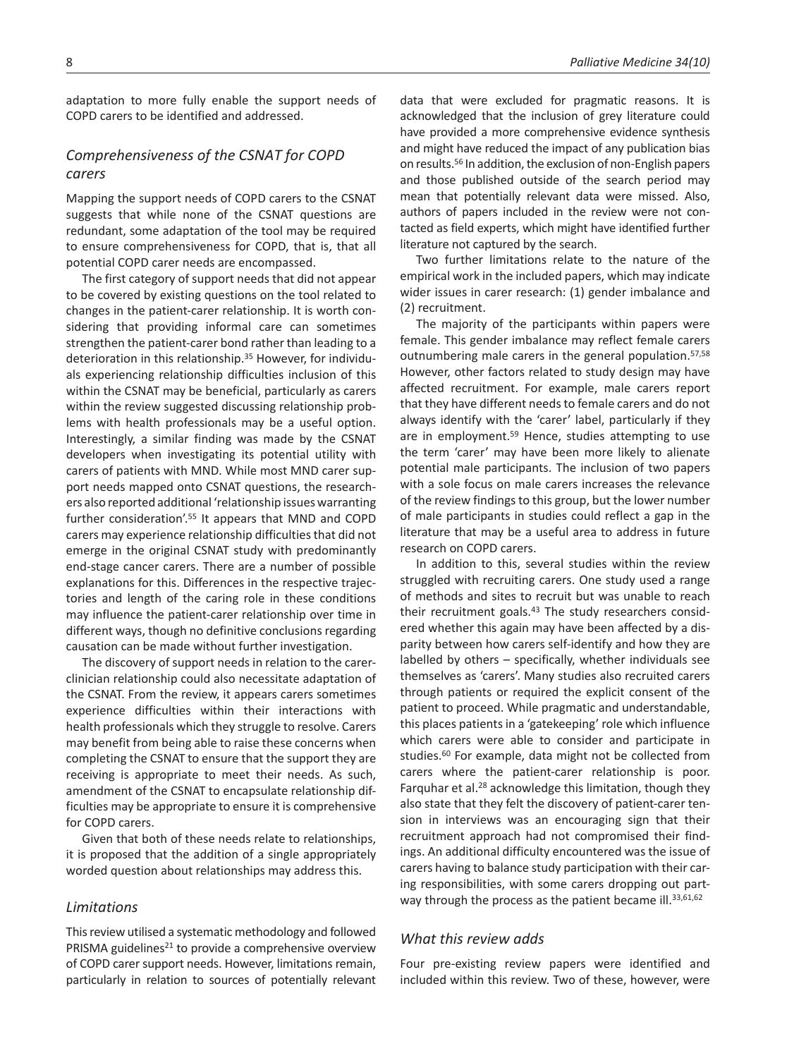adaptation to more fully enable the support needs of COPD carers to be identified and addressed.

# *Comprehensiveness of the CSNAT for COPD carers*

Mapping the support needs of COPD carers to the CSNAT suggests that while none of the CSNAT questions are redundant, some adaptation of the tool may be required to ensure comprehensiveness for COPD, that is, that all potential COPD carer needs are encompassed.

The first category of support needs that did not appear to be covered by existing questions on the tool related to changes in the patient-carer relationship. It is worth considering that providing informal care can sometimes strengthen the patient-carer bond rather than leading to a deterioration in this relationship.35 However, for individuals experiencing relationship difficulties inclusion of this within the CSNAT may be beneficial, particularly as carers within the review suggested discussing relationship problems with health professionals may be a useful option. Interestingly, a similar finding was made by the CSNAT developers when investigating its potential utility with carers of patients with MND. While most MND carer support needs mapped onto CSNAT questions, the researchers also reported additional 'relationship issues warranting further consideration'.55 It appears that MND and COPD carers may experience relationship difficulties that did not emerge in the original CSNAT study with predominantly end-stage cancer carers. There are a number of possible explanations for this. Differences in the respective trajectories and length of the caring role in these conditions may influence the patient-carer relationship over time in different ways, though no definitive conclusions regarding causation can be made without further investigation.

The discovery of support needs in relation to the carerclinician relationship could also necessitate adaptation of the CSNAT. From the review, it appears carers sometimes experience difficulties within their interactions with health professionals which they struggle to resolve. Carers may benefit from being able to raise these concerns when completing the CSNAT to ensure that the support they are receiving is appropriate to meet their needs. As such, amendment of the CSNAT to encapsulate relationship difficulties may be appropriate to ensure it is comprehensive for COPD carers.

Given that both of these needs relate to relationships, it is proposed that the addition of a single appropriately worded question about relationships may address this.

# *Limitations*

This review utilised a systematic methodology and followed PRISMA guidelines<sup>21</sup> to provide a comprehensive overview of COPD carer support needs. However, limitations remain, particularly in relation to sources of potentially relevant

data that were excluded for pragmatic reasons. It is acknowledged that the inclusion of grey literature could have provided a more comprehensive evidence synthesis and might have reduced the impact of any publication bias on results.56 In addition, the exclusion of non-English papers and those published outside of the search period may mean that potentially relevant data were missed. Also, authors of papers included in the review were not contacted as field experts, which might have identified further literature not captured by the search.

Two further limitations relate to the nature of the empirical work in the included papers, which may indicate wider issues in carer research: (1) gender imbalance and (2) recruitment.

The majority of the participants within papers were female. This gender imbalance may reflect female carers outnumbering male carers in the general population.57,58 However, other factors related to study design may have affected recruitment. For example, male carers report that they have different needs to female carers and do not always identify with the 'carer' label, particularly if they are in employment.59 Hence, studies attempting to use the term 'carer' may have been more likely to alienate potential male participants. The inclusion of two papers with a sole focus on male carers increases the relevance of the review findings to this group, but the lower number of male participants in studies could reflect a gap in the literature that may be a useful area to address in future research on COPD carers.

In addition to this, several studies within the review struggled with recruiting carers. One study used a range of methods and sites to recruit but was unable to reach their recruitment goals.<sup>43</sup> The study researchers considered whether this again may have been affected by a disparity between how carers self-identify and how they are labelled by others – specifically, whether individuals see themselves as 'carers'. Many studies also recruited carers through patients or required the explicit consent of the patient to proceed. While pragmatic and understandable, this places patients in a 'gatekeeping' role which influence which carers were able to consider and participate in studies.<sup>60</sup> For example, data might not be collected from carers where the patient-carer relationship is poor. Farquhar et al.28 acknowledge this limitation, though they also state that they felt the discovery of patient-carer tension in interviews was an encouraging sign that their recruitment approach had not compromised their findings. An additional difficulty encountered was the issue of carers having to balance study participation with their caring responsibilities, with some carers dropping out partway through the process as the patient became ill.<sup>33,61,62</sup>

# *What this review adds*

Four pre-existing review papers were identified and included within this review. Two of these, however, were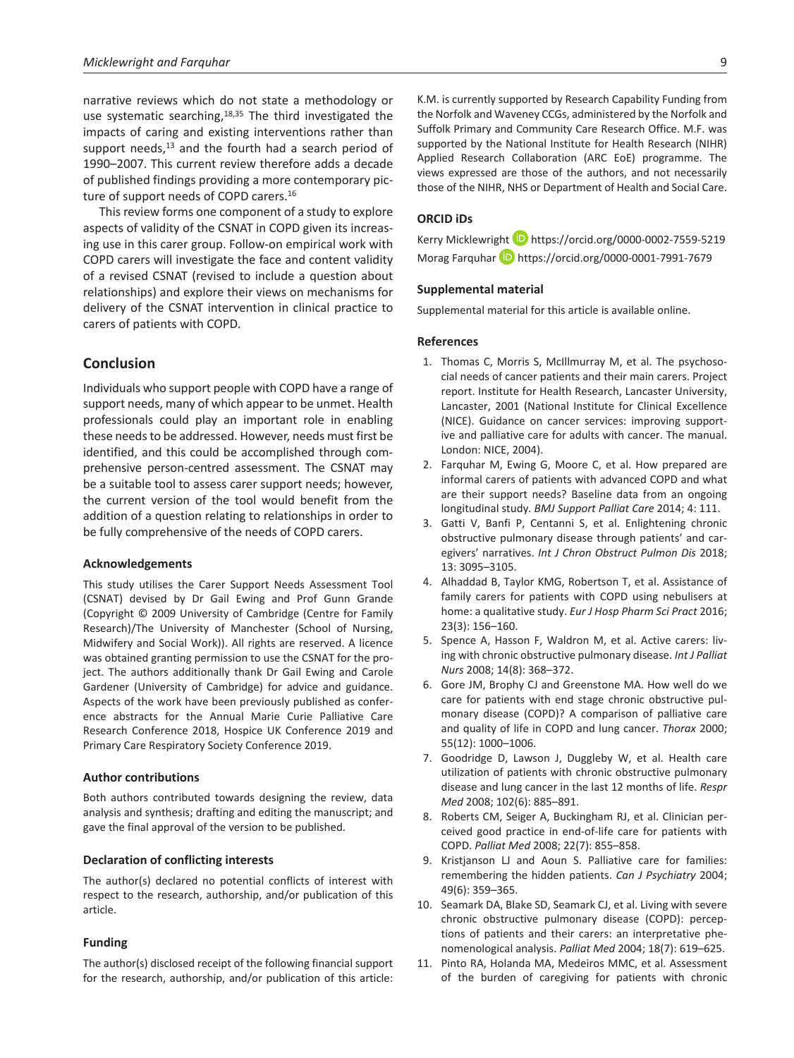narrative reviews which do not state a methodology or use systematic searching,<sup>18,35</sup> The third investigated the impacts of caring and existing interventions rather than support needs,<sup>13</sup> and the fourth had a search period of 1990–2007. This current review therefore adds a decade of published findings providing a more contemporary picture of support needs of COPD carers.16

This review forms one component of a study to explore aspects of validity of the CSNAT in COPD given its increasing use in this carer group. Follow-on empirical work with COPD carers will investigate the face and content validity of a revised CSNAT (revised to include a question about relationships) and explore their views on mechanisms for delivery of the CSNAT intervention in clinical practice to carers of patients with COPD.

# **Conclusion**

Individuals who support people with COPD have a range of support needs, many of which appear to be unmet. Health professionals could play an important role in enabling these needs to be addressed. However, needs must first be identified, and this could be accomplished through comprehensive person-centred assessment. The CSNAT may be a suitable tool to assess carer support needs; however, the current version of the tool would benefit from the addition of a question relating to relationships in order to be fully comprehensive of the needs of COPD carers.

### **Acknowledgements**

This study utilises the Carer Support Needs Assessment Tool (CSNAT) devised by Dr Gail Ewing and Prof Gunn Grande (Copyright © 2009 University of Cambridge (Centre for Family Research)/The University of Manchester (School of Nursing, Midwifery and Social Work)). All rights are reserved. A licence was obtained granting permission to use the CSNAT for the project. The authors additionally thank Dr Gail Ewing and Carole Gardener (University of Cambridge) for advice and guidance. Aspects of the work have been previously published as conference abstracts for the Annual Marie Curie Palliative Care Research Conference 2018, Hospice UK Conference 2019 and Primary Care Respiratory Society Conference 2019.

#### **Author contributions**

Both authors contributed towards designing the review, data analysis and synthesis; drafting and editing the manuscript; and gave the final approval of the version to be published.

### **Declaration of conflicting interests**

The author(s) declared no potential conflicts of interest with respect to the research, authorship, and/or publication of this article.

### **Funding**

The author(s) disclosed receipt of the following financial support for the research, authorship, and/or publication of this article:

K.M. is currently supported by Research Capability Funding from the Norfolk and Waveney CCGs, administered by the Norfolk and Suffolk Primary and Community Care Research Office. M.F. was supported by the National Institute for Health Research (NIHR) Applied Research Collaboration (ARC EoE) programme. The views expressed are those of the authors, and not necessarily those of the NIHR, NHS or Department of Health and Social Care.

# **ORCID iDs**

Kerry Micklewright **b** <https://orcid.org/0000-0002-7559-5219> Morag Farquhar **b** <https://orcid.org/0000-0001-7991-7679>

### **Supplemental material**

Supplemental material for this article is available online.

### **References**

- 1. Thomas C, Morris S, McIllmurray M, et al. The psychosocial needs of cancer patients and their main carers. Project report. Institute for Health Research, Lancaster University, Lancaster, 2001 (National Institute for Clinical Excellence (NICE). Guidance on cancer services: improving supportive and palliative care for adults with cancer. The manual. London: NICE, 2004).
- 2. Farquhar M, Ewing G, Moore C, et al. How prepared are informal carers of patients with advanced COPD and what are their support needs? Baseline data from an ongoing longitudinal study. *BMJ Support Palliat Care* 2014; 4: 111.
- 3. Gatti V, Banfi P, Centanni S, et al. Enlightening chronic obstructive pulmonary disease through patients' and caregivers' narratives. *Int J Chron Obstruct Pulmon Dis* 2018; 13: 3095–3105.
- 4. Alhaddad B, Taylor KMG, Robertson T, et al. Assistance of family carers for patients with COPD using nebulisers at home: a qualitative study. *Eur J Hosp Pharm Sci Pract* 2016; 23(3): 156–160.
- 5. Spence A, Hasson F, Waldron M, et al. Active carers: living with chronic obstructive pulmonary disease. *Int J Palliat Nurs* 2008; 14(8): 368–372.
- 6. Gore JM, Brophy CJ and Greenstone MA. How well do we care for patients with end stage chronic obstructive pulmonary disease (COPD)? A comparison of palliative care and quality of life in COPD and lung cancer. *Thorax* 2000; 55(12): 1000–1006.
- 7. Goodridge D, Lawson J, Duggleby W, et al. Health care utilization of patients with chronic obstructive pulmonary disease and lung cancer in the last 12 months of life. *Respr Med* 2008; 102(6): 885–891.
- 8. Roberts CM, Seiger A, Buckingham RJ, et al. Clinician perceived good practice in end-of-life care for patients with COPD. *Palliat Med* 2008; 22(7): 855–858.
- 9. Kristjanson LJ and Aoun S. Palliative care for families: remembering the hidden patients. *Can J Psychiatry* 2004; 49(6): 359–365.
- 10. Seamark DA, Blake SD, Seamark CJ, et al. Living with severe chronic obstructive pulmonary disease (COPD): perceptions of patients and their carers: an interpretative phenomenological analysis. *Palliat Med* 2004; 18(7): 619–625.
- 11. Pinto RA, Holanda MA, Medeiros MMC, et al. Assessment of the burden of caregiving for patients with chronic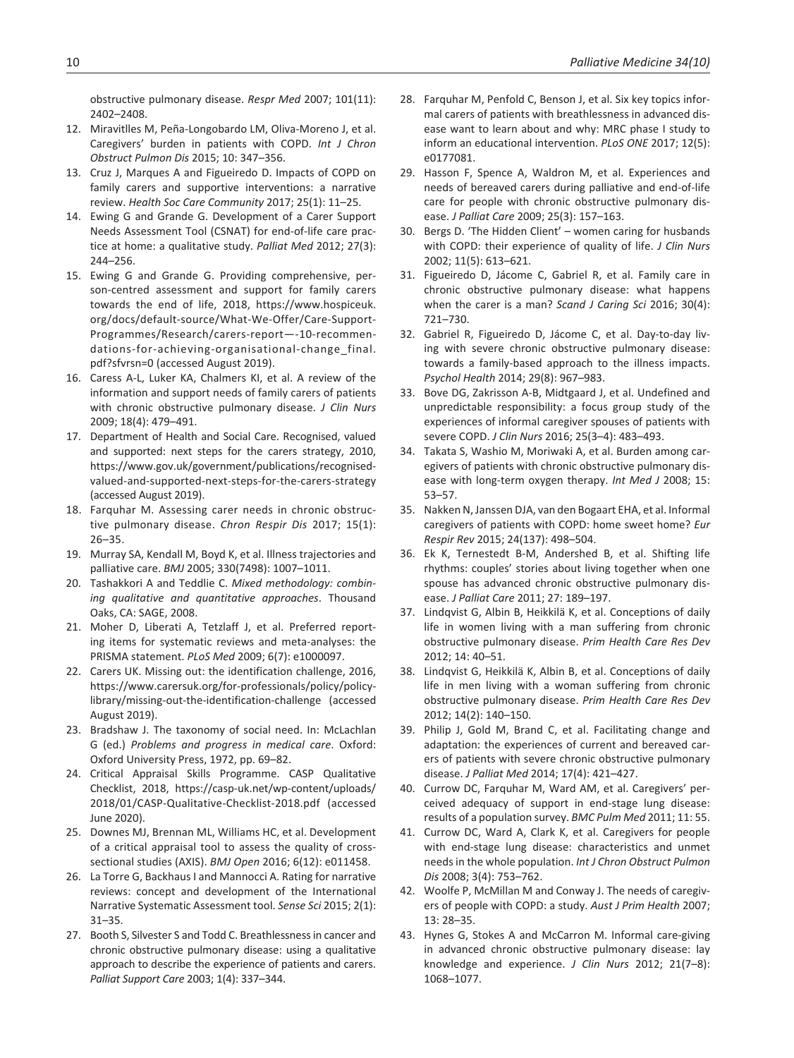obstructive pulmonary disease. *Respr Med* 2007; 101(11): 2402–2408.

- 12. Miravitlles M, Peña-Longobardo LM, Oliva-Moreno J, et al. Caregivers' burden in patients with COPD. *Int J Chron Obstruct Pulmon Dis* 2015; 10: 347–356.
- 13. Cruz J, Marques A and Figueiredo D. Impacts of COPD on family carers and supportive interventions: a narrative review. *Health Soc Care Community* 2017; 25(1): 11–25.
- 14. Ewing G and Grande G. Development of a Carer Support Needs Assessment Tool (CSNAT) for end-of-life care practice at home: a qualitative study. *Palliat Med* 2012; 27(3): 244–256.
- 15. Ewing G and Grande G. Providing comprehensive, person-centred assessment and support for family carers towards the end of life, 2018, [https://www.hospiceuk.](https://www.hospiceuk.org/docs/default-source/What-We-Offer/Care-Support-Programmes/Research/carers-report�-10-recommendations-for-achieving-organisational-change_final.pdf?sfvrsn=0) [org/docs/default-source/What-We-Offer/Care-Support-](https://www.hospiceuk.org/docs/default-source/What-We-Offer/Care-Support-Programmes/Research/carers-report�-10-recommendations-for-achieving-organisational-change_final.pdf?sfvrsn=0)[Programmes/Research/carers-report—-10-recommen](https://www.hospiceuk.org/docs/default-source/What-We-Offer/Care-Support-Programmes/Research/carers-report�-10-recommendations-for-achieving-organisational-change_final.pdf?sfvrsn=0)[dations-for-achieving-organisational-change\\_final.](https://www.hospiceuk.org/docs/default-source/What-We-Offer/Care-Support-Programmes/Research/carers-report�-10-recommendations-for-achieving-organisational-change_final.pdf?sfvrsn=0) [pdf?sfvrsn=0](https://www.hospiceuk.org/docs/default-source/What-We-Offer/Care-Support-Programmes/Research/carers-report�-10-recommendations-for-achieving-organisational-change_final.pdf?sfvrsn=0) (accessed August 2019).
- 16. Caress A-L, Luker KA, Chalmers KI, et al. A review of the information and support needs of family carers of patients with chronic obstructive pulmonary disease. *J Clin Nurs* 2009; 18(4): 479–491.
- 17. Department of Health and Social Care. Recognised, valued and supported: next steps for the carers strategy, 2010, [https://www.gov.uk/government/publications/recognised](https://www.gov.uk/government/publications/recognised-valued-and-supported-next-steps-for-the-carers-strategy)[valued-and-supported-next-steps-for-the-carers-strategy](https://www.gov.uk/government/publications/recognised-valued-and-supported-next-steps-for-the-carers-strategy) (accessed August 2019).
- 18. Farquhar M. Assessing carer needs in chronic obstructive pulmonary disease. *Chron Respir Dis* 2017; 15(1): 26–35.
- 19. Murray SA, Kendall M, Boyd K, et al. Illness trajectories and palliative care. *BMJ* 2005; 330(7498): 1007–1011.
- 20. Tashakkori A and Teddlie C. *Mixed methodology: combining qualitative and quantitative approaches*. Thousand Oaks, CA: SAGE, 2008.
- 21. Moher D, Liberati A, Tetzlaff J, et al. Preferred reporting items for systematic reviews and meta-analyses: the PRISMA statement. *PLoS Med* 2009; 6(7): e1000097.
- 22. Carers UK. Missing out: the identification challenge, 2016, [https://www.carersuk.org/for-professionals/policy/policy](https://www.carersuk.org/for-professionals/policy/policy-library/missing-out-the-identification-challenge)[library/missing-out-the-identification-challenge](https://www.carersuk.org/for-professionals/policy/policy-library/missing-out-the-identification-challenge) (accessed August 2019).
- 23. Bradshaw J. The taxonomy of social need. In: McLachlan G (ed.) *Problems and progress in medical care*. Oxford: Oxford University Press, 1972, pp. 69–82.
- 24. Critical Appraisal Skills Programme. CASP Qualitative Checklist, 2018, [https://casp-uk.net/wp-content/uploads/](https://casp-uk.net/wp-content/uploads/2018/01/CASP-Qualitative-Checklist-2018.pdf) [2018/01/CASP-Qualitative-Checklist-2018.pdf](https://casp-uk.net/wp-content/uploads/2018/01/CASP-Qualitative-Checklist-2018.pdf) (accessed June 2020).
- 25. Downes MJ, Brennan ML, Williams HC, et al. Development of a critical appraisal tool to assess the quality of crosssectional studies (AXIS). *BMJ Open* 2016; 6(12): e011458.
- 26. La Torre G, Backhaus I and Mannocci A. Rating for narrative reviews: concept and development of the International Narrative Systematic Assessment tool. *Sense Sci* 2015; 2(1): 31–35.
- 27. Booth S, Silvester S and Todd C. Breathlessness in cancer and chronic obstructive pulmonary disease: using a qualitative approach to describe the experience of patients and carers. *Palliat Support Care* 2003; 1(4): 337–344.
- 28. Farquhar M, Penfold C, Benson J, et al. Six key topics informal carers of patients with breathlessness in advanced disease want to learn about and why: MRC phase I study to inform an educational intervention. *PLoS ONE* 2017; 12(5): e0177081.
- 29. Hasson F, Spence A, Waldron M, et al. Experiences and needs of bereaved carers during palliative and end-of-life care for people with chronic obstructive pulmonary disease. *J Palliat Care* 2009; 25(3): 157–163.
- 30. Bergs D. 'The Hidden Client' women caring for husbands with COPD: their experience of quality of life. *J Clin Nurs* 2002; 11(5): 613–621.
- 31. Figueiredo D, Jácome C, Gabriel R, et al. Family care in chronic obstructive pulmonary disease: what happens when the carer is a man? *Scand J Caring Sci* 2016; 30(4): 721–730.
- 32. Gabriel R, Figueiredo D, Jácome C, et al. Day-to-day living with severe chronic obstructive pulmonary disease: towards a family-based approach to the illness impacts. *Psychol Health* 2014; 29(8): 967–983.
- 33. Bove DG, Zakrisson A-B, Midtgaard J, et al. Undefined and unpredictable responsibility: a focus group study of the experiences of informal caregiver spouses of patients with severe COPD. *J Clin Nurs* 2016; 25(3–4): 483–493.
- 34. Takata S, Washio M, Moriwaki A, et al. Burden among caregivers of patients with chronic obstructive pulmonary disease with long-term oxygen therapy. *Int Med J* 2008; 15: 53–57.
- 35. Nakken N, Janssen DJA, van den Bogaart EHA, et al. Informal caregivers of patients with COPD: home sweet home? *Eur Respir Rev* 2015; 24(137): 498–504.
- 36. Ek K, Ternestedt B-M, Andershed B, et al. Shifting life rhythms: couples' stories about living together when one spouse has advanced chronic obstructive pulmonary disease. *J Palliat Care* 2011; 27: 189–197.
- 37. Lindqvist G, Albin B, Heikkilä K, et al. Conceptions of daily life in women living with a man suffering from chronic obstructive pulmonary disease. *Prim Health Care Res Dev* 2012; 14: 40–51.
- 38. Lindqvist G, Heikkilä K, Albin B, et al. Conceptions of daily life in men living with a woman suffering from chronic obstructive pulmonary disease. *Prim Health Care Res Dev* 2012; 14(2): 140–150.
- 39. Philip J, Gold M, Brand C, et al. Facilitating change and adaptation: the experiences of current and bereaved carers of patients with severe chronic obstructive pulmonary disease. *J Palliat Med* 2014; 17(4): 421–427.
- 40. Currow DC, Farquhar M, Ward AM, et al. Caregivers' perceived adequacy of support in end-stage lung disease: results of a population survey. *BMC Pulm Med* 2011; 11: 55.
- 41. Currow DC, Ward A, Clark K, et al. Caregivers for people with end-stage lung disease: characteristics and unmet needs in the whole population. *Int J Chron Obstruct Pulmon Dis* 2008; 3(4): 753–762.
- 42. Woolfe P, McMillan M and Conway J. The needs of caregivers of people with COPD: a study. *Aust J Prim Health* 2007; 13: 28–35.
- 43. Hynes G, Stokes A and McCarron M. Informal care-giving in advanced chronic obstructive pulmonary disease: lay knowledge and experience. *J Clin Nurs* 2012; 21(7–8): 1068–1077.